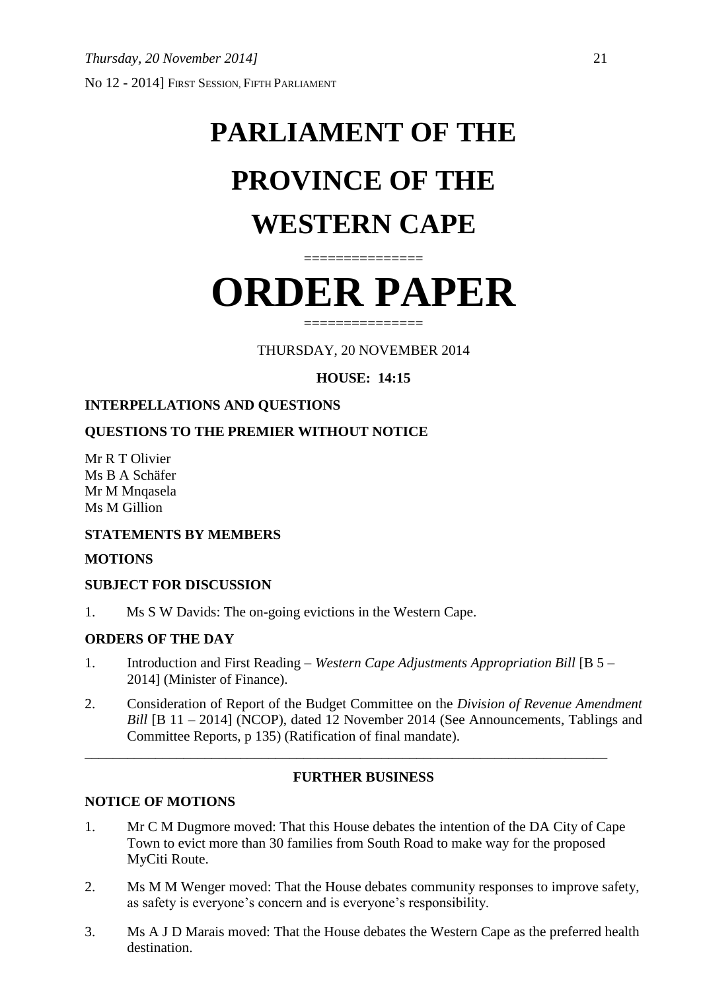# **PARLIAMENT OF THE PROVINCE OF THE WESTERN CAPE**

# **ORDER PAPER**

===============

===============

THURSDAY, 20 NOVEMBER 2014

**HOUSE: 14:15**

# **INTERPELLATIONS AND QUESTIONS**

# **QUESTIONS TO THE PREMIER WITHOUT NOTICE**

Mr R T Olivier Ms B A Schäfer Mr M Mnqasela Ms M Gillion

# **STATEMENTS BY MEMBERS**

#### **MOTIONS**

# **SUBJECT FOR DISCUSSION**

1. Ms S W Davids: The on-going evictions in the Western Cape.

# **ORDERS OF THE DAY**

1. Introduction and First Reading – *Western Cape Adjustments Appropriation Bill* [B 5 – 2014] (Minister of Finance).

\_\_\_\_\_\_\_\_\_\_\_\_\_\_\_\_\_\_\_\_\_\_\_\_\_\_\_\_\_\_\_\_\_\_\_\_\_\_\_\_\_\_\_\_\_\_\_\_\_\_\_\_\_\_\_\_\_\_\_\_\_\_\_\_\_\_\_\_\_\_\_\_\_\_

2. Consideration of Report of the Budget Committee on the *Division of Revenue Amendment Bill* [B 11 – 2014] (NCOP), dated 12 November 2014 (See Announcements, Tablings and Committee Reports, p 135) (Ratification of final mandate).

# **FURTHER BUSINESS**

# **NOTICE OF MOTIONS**

- 1. Mr C M Dugmore moved: That this House debates the intention of the DA City of Cape Town to evict more than 30 families from South Road to make way for the proposed MyCiti Route.
- 2. Ms M M Wenger moved: That the House debates community responses to improve safety, as safety is everyone's concern and is everyone's responsibility.
- 3. Ms A J D Marais moved: That the House debates the Western Cape as the preferred health destination.